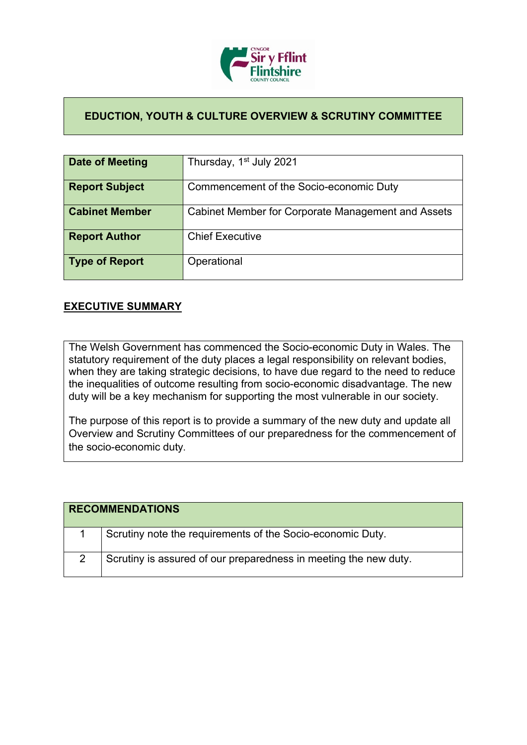

## **EDUCTION, YOUTH & CULTURE OVERVIEW & SCRUTINY COMMITTEE**

| Date of Meeting       | Thursday, 1 <sup>st</sup> July 2021                |
|-----------------------|----------------------------------------------------|
| <b>Report Subject</b> | Commencement of the Socio-economic Duty            |
| <b>Cabinet Member</b> | Cabinet Member for Corporate Management and Assets |
| <b>Report Author</b>  | <b>Chief Executive</b>                             |
| <b>Type of Report</b> | Operational                                        |

## **EXECUTIVE SUMMARY**

The Welsh Government has commenced the Socio-economic Duty in Wales. The statutory requirement of the duty places a legal responsibility on relevant bodies, when they are taking strategic decisions, to have due regard to the need to reduce the inequalities of outcome resulting from socio-economic disadvantage. The new duty will be a key mechanism for supporting the most vulnerable in our society.

The purpose of this report is to provide a summary of the new duty and update all Overview and Scrutiny Committees of our preparedness for the commencement of the socio-economic duty.

| <b>RECOMMENDATIONS</b> |                                                                  |
|------------------------|------------------------------------------------------------------|
|                        | Scrutiny note the requirements of the Socio-economic Duty.       |
|                        | Scrutiny is assured of our preparedness in meeting the new duty. |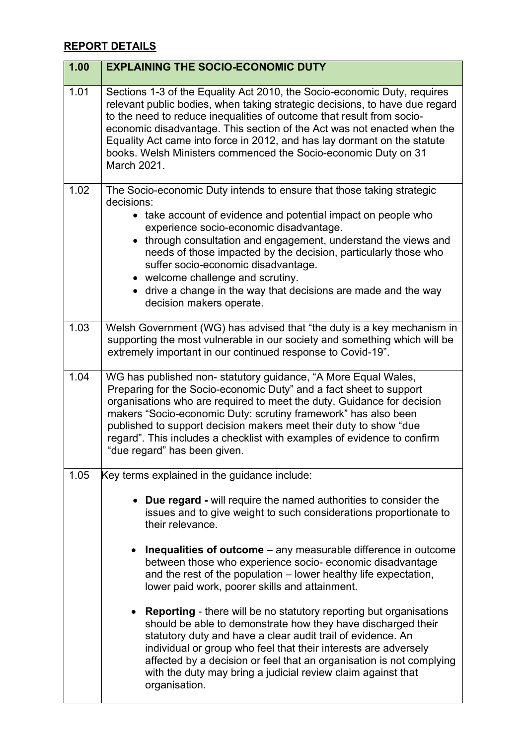## **REPORT DETAILS**

| 1.00 | <b>EXPLAINING THE SOCIO-ECONOMIC DUTY</b>                                                                                                                                                                                                                                                                                                                                                                                                                                |
|------|--------------------------------------------------------------------------------------------------------------------------------------------------------------------------------------------------------------------------------------------------------------------------------------------------------------------------------------------------------------------------------------------------------------------------------------------------------------------------|
| 1.01 | Sections 1-3 of the Equality Act 2010, the Socio-economic Duty, requires<br>relevant public bodies, when taking strategic decisions, to have due regard<br>to the need to reduce inequalities of outcome that result from socio-<br>economic disadvantage. This section of the Act was not enacted when the<br>Equality Act came into force in 2012, and has lay dormant on the statute<br>books. Welsh Ministers commenced the Socio-economic Duty on 31<br>March 2021. |
| 1.02 | The Socio-economic Duty intends to ensure that those taking strategic<br>decisions:<br>• take account of evidence and potential impact on people who<br>experience socio-economic disadvantage.<br>• through consultation and engagement, understand the views and<br>needs of those impacted by the decision, particularly those who                                                                                                                                    |
|      | suffer socio-economic disadvantage.<br>• welcome challenge and scrutiny.<br>• drive a change in the way that decisions are made and the way<br>decision makers operate.                                                                                                                                                                                                                                                                                                  |
| 1.03 | Welsh Government (WG) has advised that "the duty is a key mechanism in<br>supporting the most vulnerable in our society and something which will be<br>extremely important in our continued response to Covid-19".                                                                                                                                                                                                                                                       |
| 1.04 | WG has published non- statutory guidance, "A More Equal Wales,<br>Preparing for the Socio-economic Duty" and a fact sheet to support<br>organisations who are required to meet the duty. Guidance for decision<br>makers "Socio-economic Duty: scrutiny framework" has also been<br>published to support decision makers meet their duty to show "due<br>regard". This includes a checklist with examples of evidence to confirm<br>"due regard" has been given.         |
| 1.05 | Key terms explained in the guidance include:                                                                                                                                                                                                                                                                                                                                                                                                                             |
|      | • Due regard - will require the named authorities to consider the<br>issues and to give weight to such considerations proportionate to<br>their relevance.                                                                                                                                                                                                                                                                                                               |
|      | <b>Inequalities of outcome</b> $-$ any measurable difference in outcome<br>between those who experience socio-economic disadvantage<br>and the rest of the population - lower healthy life expectation,<br>lower paid work, poorer skills and attainment.                                                                                                                                                                                                                |
|      | <b>Reporting</b> - there will be no statutory reporting but organisations<br>should be able to demonstrate how they have discharged their<br>statutory duty and have a clear audit trail of evidence. An<br>individual or group who feel that their interests are adversely<br>affected by a decision or feel that an organisation is not complying<br>with the duty may bring a judicial review claim against that<br>organisation.                                     |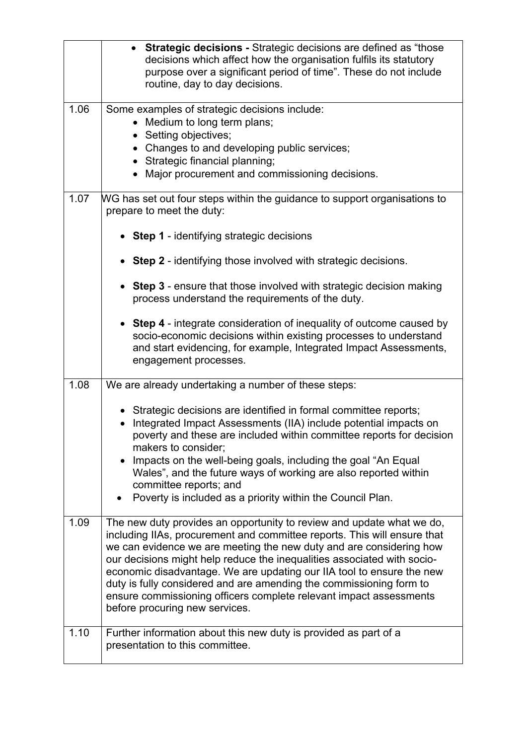|                    | <b>Strategic decisions - Strategic decisions are defined as "those</b><br>decisions which affect how the organisation fulfils its statutory<br>purpose over a significant period of time". These do not include<br>routine, day to day decisions.                                                                                                                                                                                                                                                                                                           |
|--------------------|-------------------------------------------------------------------------------------------------------------------------------------------------------------------------------------------------------------------------------------------------------------------------------------------------------------------------------------------------------------------------------------------------------------------------------------------------------------------------------------------------------------------------------------------------------------|
| 1.06               | Some examples of strategic decisions include:<br>• Medium to long term plans;<br>• Setting objectives;<br>• Changes to and developing public services;<br>• Strategic financial planning;<br>• Major procurement and commissioning decisions.                                                                                                                                                                                                                                                                                                               |
| 1.07               | WG has set out four steps within the guidance to support organisations to<br>prepare to meet the duty:                                                                                                                                                                                                                                                                                                                                                                                                                                                      |
|                    | • Step 1 - identifying strategic decisions                                                                                                                                                                                                                                                                                                                                                                                                                                                                                                                  |
|                    | • Step 2 - identifying those involved with strategic decisions.                                                                                                                                                                                                                                                                                                                                                                                                                                                                                             |
|                    | • Step 3 - ensure that those involved with strategic decision making<br>process understand the requirements of the duty.                                                                                                                                                                                                                                                                                                                                                                                                                                    |
|                    | • Step 4 - integrate consideration of inequality of outcome caused by<br>socio-economic decisions within existing processes to understand<br>and start evidencing, for example, Integrated Impact Assessments,<br>engagement processes.                                                                                                                                                                                                                                                                                                                     |
| 1.08               | We are already undertaking a number of these steps:                                                                                                                                                                                                                                                                                                                                                                                                                                                                                                         |
|                    | • Strategic decisions are identified in formal committee reports;<br>Integrated Impact Assessments (IIA) include potential impacts on<br>poverty and these are included within committee reports for decision<br>makers to consider;<br>Impacts on the well-being goals, including the goal "An Equal<br>Wales", and the future ways of working are also reported within<br>committee reports; and<br>Poverty is included as a priority within the Council Plan.                                                                                            |
| 1.09               | The new duty provides an opportunity to review and update what we do,<br>including IIAs, procurement and committee reports. This will ensure that<br>we can evidence we are meeting the new duty and are considering how<br>our decisions might help reduce the inequalities associated with socio-<br>economic disadvantage. We are updating our IIA tool to ensure the new<br>duty is fully considered and are amending the commissioning form to<br>ensure commissioning officers complete relevant impact assessments<br>before procuring new services. |
| $\overline{1}$ .10 | Further information about this new duty is provided as part of a<br>presentation to this committee.                                                                                                                                                                                                                                                                                                                                                                                                                                                         |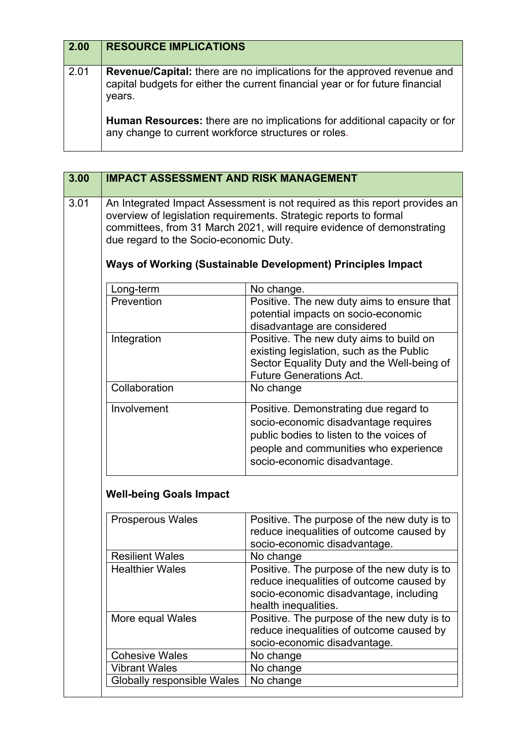| $\boxed{2.00}$ | <b>RESOURCE IMPLICATIONS</b>                                                                                                                                              |
|----------------|---------------------------------------------------------------------------------------------------------------------------------------------------------------------------|
| 2.01           | <b>Revenue/Capital:</b> there are no implications for the approved revenue and<br>capital budgets for either the current financial year or for future financial<br>years. |
|                | Human Resources: there are no implications for additional capacity or for<br>any change to current workforce structures or roles.                                         |

| 3.00 | <b>IMPACT ASSESSMENT AND RISK MANAGEMENT</b> |                                                                                                                                                                                                                                                                                          |
|------|----------------------------------------------|------------------------------------------------------------------------------------------------------------------------------------------------------------------------------------------------------------------------------------------------------------------------------------------|
| 3.01 | due regard to the Socio-economic Duty.       | An Integrated Impact Assessment is not required as this report provides an<br>overview of legislation requirements. Strategic reports to formal<br>committees, from 31 March 2021, will require evidence of demonstrating<br>Ways of Working (Sustainable Development) Principles Impact |
|      | Long-term                                    | No change.                                                                                                                                                                                                                                                                               |
|      | Prevention                                   | Positive. The new duty aims to ensure that<br>potential impacts on socio-economic<br>disadvantage are considered                                                                                                                                                                         |
|      | Integration                                  | Positive. The new duty aims to build on<br>existing legislation, such as the Public<br>Sector Equality Duty and the Well-being of<br><b>Future Generations Act.</b>                                                                                                                      |
|      | Collaboration                                | No change                                                                                                                                                                                                                                                                                |
|      | Involvement                                  | Positive. Demonstrating due regard to<br>socio-economic disadvantage requires<br>public bodies to listen to the voices of<br>people and communities who experience<br>socio-economic disadvantage.                                                                                       |
|      | <b>Well-being Goals Impact</b>               |                                                                                                                                                                                                                                                                                          |
|      | Prosperous Wales                             | Positive. The purpose of the new duty is to<br>reduce inequalities of outcome caused by<br>socio-economic disadvantage.                                                                                                                                                                  |
|      | <b>Resilient Wales</b>                       | No change                                                                                                                                                                                                                                                                                |
|      | <b>Healthier Wales</b>                       | Positive. The purpose of the new duty is to<br>reduce inequalities of outcome caused by<br>socio-economic disadvantage, including<br>health inequalities.                                                                                                                                |
|      | More equal Wales                             | Positive. The purpose of the new duty is to<br>reduce inequalities of outcome caused by<br>socio-economic disadvantage.                                                                                                                                                                  |
|      | <b>Cohesive Wales</b>                        | No change                                                                                                                                                                                                                                                                                |
|      | <b>Vibrant Wales</b>                         | No change                                                                                                                                                                                                                                                                                |
|      | Globally responsible Wales                   | No change                                                                                                                                                                                                                                                                                |